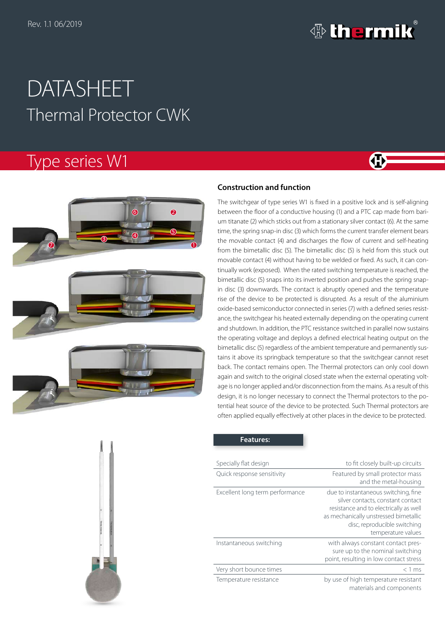

**GH** 

# Thermal Protector CWK DATASHEET

## Type series W1



### **Construction and function**

The switchgear of type series W1 is fixed in a positive lock and is self-aligning between the floor of a conductive housing (1) and a PTC cap made from barium titanate (2) which sticks out from a stationary silver contact (6). At the same time, the spring snap-in disc (3) which forms the current transfer element bears the movable contact (4) and discharges the flow of current and self-heating from the bimetallic disc (5). The bimetallic disc (5) is held from this stuck out movable contact (4) without having to be welded or fixed. As such, it can continually work (exposed). When the rated switching temperature is reached, the bimetallic disc (5) snaps into its inverted position and pushes the spring snapin disc (3) downwards. The contact is abruptly opened and the temperature rise of the device to be protected is disrupted. As a result of the aluminium oxide-based semiconductor connected in series (7) with a defined series resistance, the switchgear his heated externally depending on the operating current and shutdown. In addition, the PTC resistance switched in parallel now sustains the operating voltage and deploys a defined electrical heating output on the bimetallic disc (5) regardless of the ambient temperature and permanently sustains it above its springback temperature so that the switchgear cannot reset back. The contact remains open. The Thermal protectors can only cool down again and switch to the original closed state when the external operating voltage is no longer applied and/or disconnection from the mains. As a result of this design, it is no longer necessary to connect the Thermal protectors to the potential heat source of the device to be protected. Such Thermal protectors are often applied equally effectively at other places in the device to be protected.



#### **Features:**

| Specially flat design           | to fit closely built-up circuits                                                                                                                                                                                   |
|---------------------------------|--------------------------------------------------------------------------------------------------------------------------------------------------------------------------------------------------------------------|
| Quick response sensitivity      | Featured by small protector mass<br>and the metal-housing                                                                                                                                                          |
| Excellent long term performance | due to instantaneous switching, fine<br>silver contacts, constant contact<br>resistance and to electrically as well<br>as mechanically unstressed bimetallic<br>disc, reproducible switching<br>temperature values |
| Instantaneous switching         | with always constant contact pres-<br>sure up to the nominal switching<br>point, resulting in low contact stress                                                                                                   |
| Very short bounce times         | $<$ 1 ms                                                                                                                                                                                                           |
| Temperature resistance          | by use of high temperature resistant<br>materials and components                                                                                                                                                   |